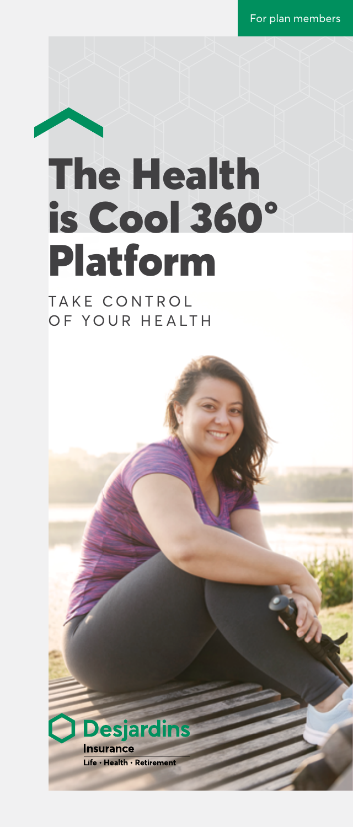For plan members

# The Health is Cool 360° Platform

TAKE CONTROL OF YOUR HEALTH

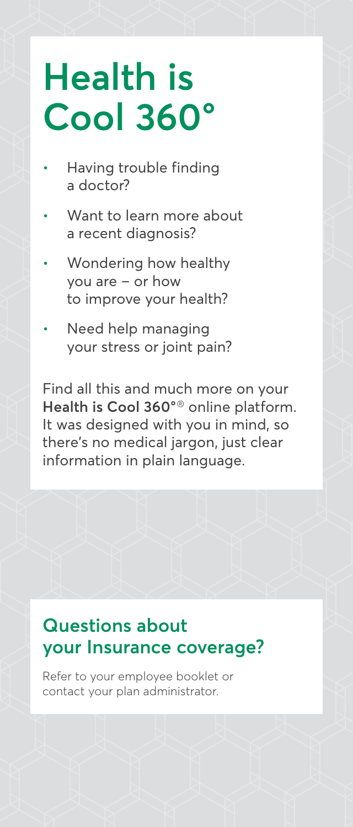# **Health is Cool 360°**

- Having trouble finding a doctor?
- Want to learn more about a recent diagnosis?
- Wondering how healthy you are – or how to improve your health?
- Need help managing your stress or joint pain?

Find all this and much more on your **Health is Cool 360°**® online platform. It was designed with you in mind, so there's no medical jargon, just clear information in plain language.

# **Questions about your Insurance coverage?**

Refer to your employee booklet or contact your plan administrator.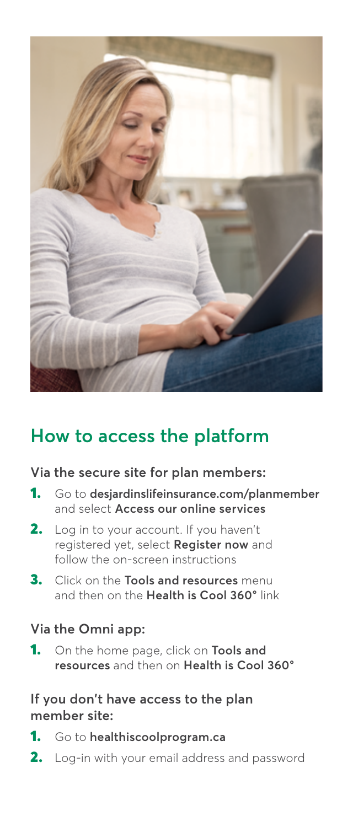

# **How to access the platform**

#### **Via the secure site for plan members:**

- 1. Go to **[desjardinslifeinsurance.com/planmember](http://desjardinslifeinsurance.com/planmember)** and select **Access our online services**
- 2. Log in to your account. If you haven't registered yet, select **Register now** and follow the on-screen instructions
- 3. Click on the **Tools and resources** menu and then on the **Health is Cool 360°** link

#### **Via the Omni app:**

1. On the home page, click on **Tools and resources** and then on **Health is Cool 360°**

#### **If you don't have access to the plan member site:**

- 1. Go to **[healthiscoolprogram.ca](http://healthiscoolprogram.ca)**
- 2. Log-in with your email address and password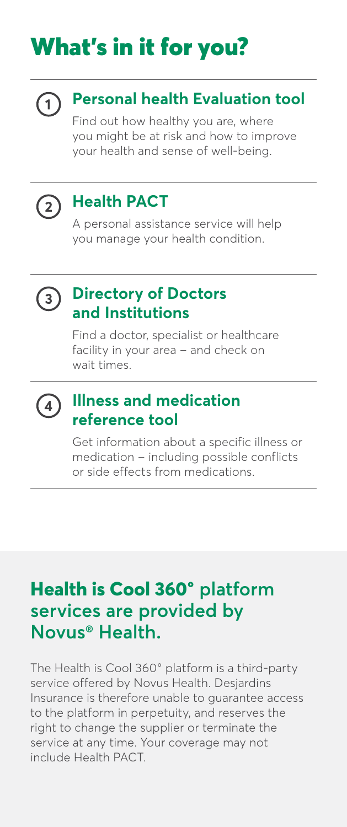# What's in it for you?



## **Personal health Evaluation tool**

Find out how healthy you are, where you might be at risk and how to improve your health and sense of well-being.



## **Health PACT**

A personal assistance service will help you manage your health condition.



#### **Directory of Doctors and Institutions**

Find a doctor, specialist or healthcare facility in your area – and check on wait times.



#### **Illness and medication reference tool**

Get information about a specific illness or medication – including possible conflicts or side effects from medications.

## **Health is Cool 360° platform services are provided by Novus® Health.**

The Health is Cool 360° platform is a third-party service offered by Novus Health. Desjardins Insurance is therefore unable to guarantee access to the platform in perpetuity, and reserves the right to change the supplier or terminate the service at any time. Your coverage may not include Health PACT.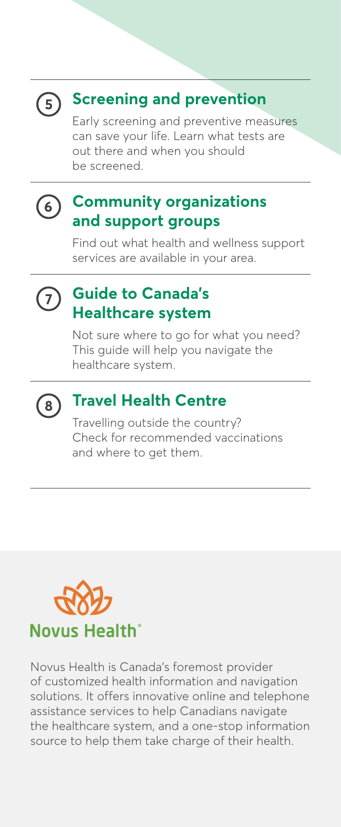

#### **Screening and prevention**

Early screening and preventive measures can save your life. Learn what tests are out there and when you should be screened.

# $(6)$

#### **Community organizations and support groups**

Find out what health and wellness support services are available in your area.

#### **Guide to Canada's**   $\overline{7}$ **Healthcare system**

Not sure where to go for what you need? This guide will help you navigate the healthcare system.



### **Travel Health Centre**

Travelling outside the country? Check for recommended vaccinations and where to get them.



Novus Health is Canada's foremost provider of customized health information and navigation solutions. It offers innovative online and telephone assistance services to help Canadians navigate the healthcare system, and a one-stop information source to help them take charge of their health.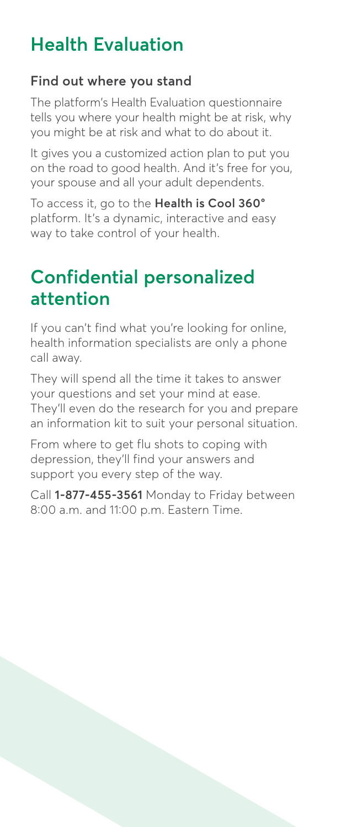# **Health Evaluation**

#### **Find out where you stand**

The platform's Health Evaluation questionnaire tells you where your health might be at risk, why you might be at risk and what to do about it.

It gives you a customized action plan to put you on the road to good health. And it's free for you, your spouse and all your adult dependents.

To access it, go to the **Health is Cool 360°** platform. It's a dynamic, interactive and easy way to take control of your health.

## **Confidential personalized attention**

If you can't find what you're looking for online, health information specialists are only a phone call away.

They will spend all the time it takes to answer your questions and set your mind at ease. They'll even do the research for you and prepare an information kit to suit your personal situation.

From where to get flu shots to coping with depression, they'll find your answers and support you every step of the way.

Call **1-877-455-3561** Monday to Friday between 8:00 a.m. and 11:00 p.m. Eastern Time.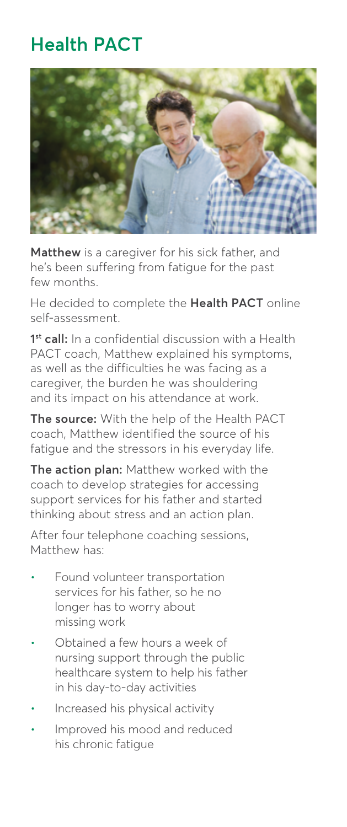# **Health PACT**



**Matthew** is a caregiver for his sick father, and he's been suffering from fatigue for the past few months.

He decided to complete the **Health PACT** online self-assessment.

**1st call:** In a confidential discussion with a Health PACT coach, Matthew explained his symptoms, as well as the difficulties he was facing as a caregiver, the burden he was shouldering and its impact on his attendance at work.

**The source:** With the help of the Health PACT coach, Matthew identified the source of his fatigue and the stressors in his everyday life.

**The action plan:** Matthew worked with the coach to develop strategies for accessing support services for his father and started thinking about stress and an action plan.

After four telephone coaching sessions, Matthew has:

- Found volunteer transportation services for his father, so he no longer has to worry about missing work
- Obtained a few hours a week of nursing support through the public healthcare system to help his father in his day-to-day activities
- Increased his physical activity
- Improved his mood and reduced his chronic fatigue